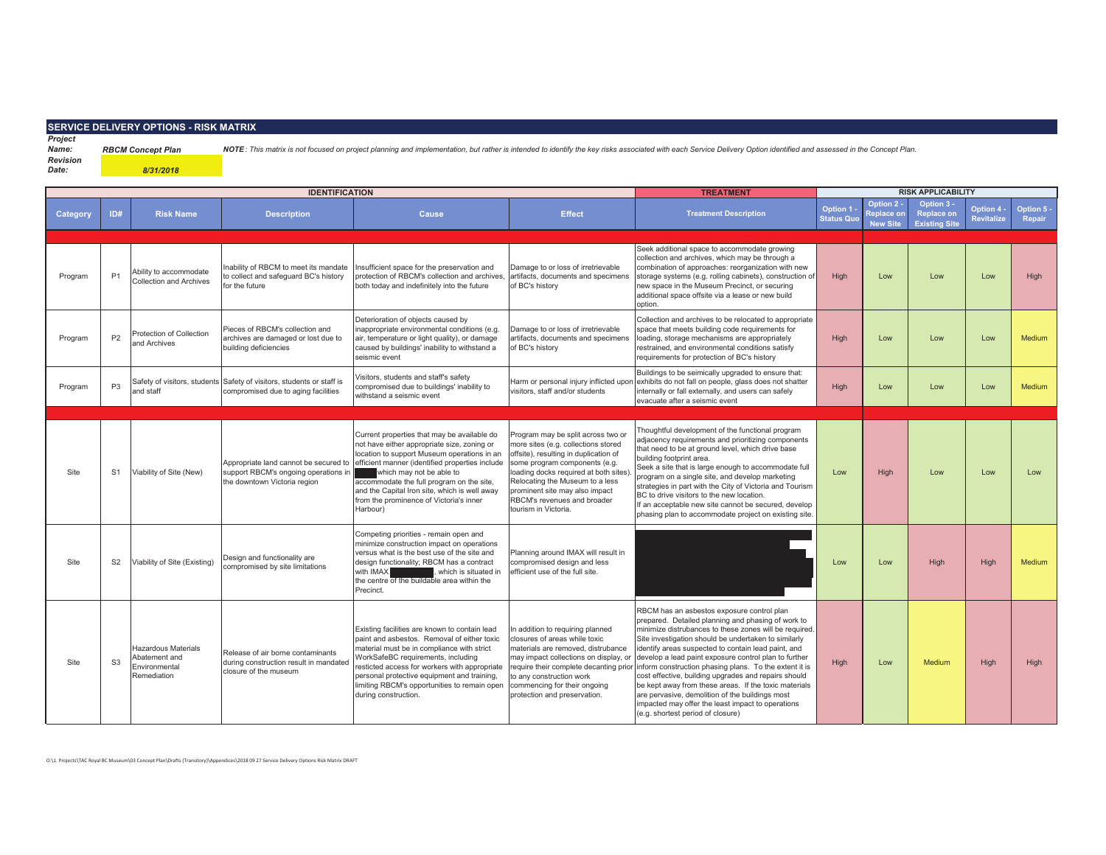## **SERVICE DELIVERY OPTIONS - RISK MATRIX**

*8/31/2018*

*Project Name:*

RBCM Concept Plan NOTE: This matrix is not focused on project planning and implementation, but rather is intended to identify the key risks associated with each Service Delivery Option identified and assessed in the Concep *Revision* 

*Date:*

|          | <b>IDENTIFICATION</b> |                                                                             |                                                                                                               |                                                                                                                                                                                                                                                                                                                                                                               |                                                                                                                                                                                                                                                                                                                          | <b>TREATMENT</b>                                                                                                                                                                                                                                                                                                                                                                                                                                                                                                                                                                                                                                                                                  | <b>RISK APPLICABILITY</b>            |                                                    |                                                       |                          |                      |
|----------|-----------------------|-----------------------------------------------------------------------------|---------------------------------------------------------------------------------------------------------------|-------------------------------------------------------------------------------------------------------------------------------------------------------------------------------------------------------------------------------------------------------------------------------------------------------------------------------------------------------------------------------|--------------------------------------------------------------------------------------------------------------------------------------------------------------------------------------------------------------------------------------------------------------------------------------------------------------------------|---------------------------------------------------------------------------------------------------------------------------------------------------------------------------------------------------------------------------------------------------------------------------------------------------------------------------------------------------------------------------------------------------------------------------------------------------------------------------------------------------------------------------------------------------------------------------------------------------------------------------------------------------------------------------------------------------|--------------------------------------|----------------------------------------------------|-------------------------------------------------------|--------------------------|----------------------|
| Category | ID#                   | <b>Risk Name</b>                                                            | <b>Description</b>                                                                                            | Cause                                                                                                                                                                                                                                                                                                                                                                         | <b>Effect</b>                                                                                                                                                                                                                                                                                                            | <b>Treatment Description</b>                                                                                                                                                                                                                                                                                                                                                                                                                                                                                                                                                                                                                                                                      | <b>Option 1</b><br><b>Status Quo</b> | Option 2 -<br><b>Replace on</b><br><b>New Site</b> | Option 3<br><b>Replace on</b><br><b>Existing Site</b> | Option 4 -<br>Revitalize | Option 5 -<br>Repair |
|          |                       |                                                                             |                                                                                                               |                                                                                                                                                                                                                                                                                                                                                                               |                                                                                                                                                                                                                                                                                                                          |                                                                                                                                                                                                                                                                                                                                                                                                                                                                                                                                                                                                                                                                                                   |                                      |                                                    |                                                       |                          |                      |
| Program  | P <sub>1</sub>        | Ability to accommodate<br><b>Collection and Archives</b>                    | nability of RBCM to meet its mandate<br>to collect and safeguard BC's history<br>for the future               | Insufficient space for the preservation and<br>protection of RBCM's collection and archives,<br>both today and indefinitely into the future                                                                                                                                                                                                                                   | Damage to or loss of irretrievable<br>artifacts, documents and specimens<br>of BC's history                                                                                                                                                                                                                              | Seek additional space to accommodate growing<br>collection and archives, which may be through a<br>combination of approaches: reorganization with new<br>storage systems (e.g. rolling cabinets), construction of<br>new space in the Museum Precinct, or securing<br>additional space offsite via a lease or new build<br>option.                                                                                                                                                                                                                                                                                                                                                                | High                                 | Low                                                | Low                                                   | Low                      | High                 |
| Program  | P <sub>2</sub>        | Protection of Collection<br>and Archives                                    | Pieces of RBCM's collection and<br>archives are damaged or lost due to<br>building deficiencies               | Deterioration of objects caused by<br>inappropriate environmental conditions (e.g.<br>air, temperature or light quality), or damage<br>caused by buildings' inability to withstand a<br>seismic event                                                                                                                                                                         | Damage to or loss of irretrievable<br>artifacts, documents and specimens<br>of BC's history                                                                                                                                                                                                                              | Collection and archives to be relocated to appropriate<br>space that meets building code requirements for<br>loading, storage mechanisms are appropriately<br>restrained, and environmental conditions satisfy<br>requirements for protection of BC's history                                                                                                                                                                                                                                                                                                                                                                                                                                     | High                                 | Low                                                | Low                                                   | Low                      | Medium               |
| Program  | P <sub>3</sub>        | Safety of visitors, students<br>and staff                                   | Safety of visitors, students or staff is<br>compromised due to aging facilities                               | Visitors, students and staff's safety<br>compromised due to buildings' inability to<br>withstand a seismic event                                                                                                                                                                                                                                                              | Harm or personal injury inflicted upor<br>visitors, staff and/or students                                                                                                                                                                                                                                                | Buildings to be seimically upgraded to ensure that:<br>exhibits do not fall on people, glass does not shatter<br>internally or fall externally, and users can safely<br>evacuate after a seismic event                                                                                                                                                                                                                                                                                                                                                                                                                                                                                            | High                                 | Low                                                | Low                                                   | Low                      | <b>Medium</b>        |
|          |                       |                                                                             |                                                                                                               |                                                                                                                                                                                                                                                                                                                                                                               |                                                                                                                                                                                                                                                                                                                          |                                                                                                                                                                                                                                                                                                                                                                                                                                                                                                                                                                                                                                                                                                   |                                      |                                                    |                                                       |                          |                      |
| Site     | S <sub>1</sub>        | Viability of Site (New)                                                     | Appropriate land cannot be secured to<br>support RBCM's ongoing operations in<br>the downtown Victoria region | Current properties that may be available do<br>not have either appropriate size, zoning or<br>location to support Museum operations in an<br>efficient manner (identified properties include<br>which may not be able to<br>accommodate the full program on the site,<br>and the Capital Iron site, which is well away<br>from the prominence of Victoria's inner<br>Harbour) | Program may be split across two or<br>more sites (e.g. collections stored<br>offsite), resulting in duplication of<br>some program components (e.g.<br>loading docks required at both sites)<br>Relocating the Museum to a less<br>prominent site may also impact<br>RBCM's revenues and broader<br>tourism in Victoria. | Thoughtful development of the functional program<br>adjacency requirements and prioritizing components<br>that need to be at ground level, which drive base<br>building footprint area.<br>Seek a site that is large enough to accommodate full<br>program on a single site, and develop marketing<br>strategies in part with the City of Victoria and Tourism<br>BC to drive visitors to the new location.<br>If an acceptable new site cannot be secured, develop<br>phasing plan to accommodate project on existing site.                                                                                                                                                                      | Low                                  | High                                               | Low                                                   | Low                      | Low                  |
| Site     | S <sub>2</sub>        | Viability of Site (Existing)                                                | Design and functionality are<br>compromised by site limitations                                               | Competing priorities - remain open and<br>minimize construction impact on operations<br>versus what is the best use of the site and<br>design functionality; RBCM has a contract<br>with IMAX<br>which is situated in<br>the centre of the buildable area within the<br>Precinct.                                                                                             | Planning around IMAX will result in<br>compromised design and less<br>efficient use of the full site.                                                                                                                                                                                                                    |                                                                                                                                                                                                                                                                                                                                                                                                                                                                                                                                                                                                                                                                                                   | Low                                  | Low                                                | <b>High</b>                                           | <b>High</b>              | <b>Medium</b>        |
| Site     | S <sub>3</sub>        | <b>Hazardous Materials</b><br>Abatement and<br>Environmental<br>Remediation | Release of air borne contaminants<br>during construction result in mandated<br>closure of the museum          | Existing facilities are known to contain lead<br>paint and asbestos. Removal of either toxic<br>material must be in compliance with strict<br>WorkSafeBC requirements, including<br>resticted access for workers with appropriate<br>personal protective equipment and training,<br>limiting RBCM's opportunities to remain open<br>during construction.                      | In addition to requiring planned<br>closures of areas while toxic<br>materials are removed, distrubance<br>may impact collections on display, or<br>to any construction work<br>commencing for their ongoing<br>protection and preservation.                                                                             | RBCM has an asbestos exposure control plan<br>prepared. Detailed planning and phasing of work to<br>minimize distrubances to these zones will be required.<br>Site investigation should be undertaken to similarly<br>identify areas suspected to contain lead paint, and<br>develop a lead paint exposure control plan to further<br>require their complete decanting prior inform construction phasing plans. To the extent it is<br>cost effective, building upgrades and repairs should<br>be kept away from these areas. If the toxic materials<br>are pervasive, demolition of the buildings most<br>impacted may offer the least impact to operations<br>(e.g. shortest period of closure) | <b>High</b>                          | Low                                                | Medium                                                | High                     | High                 |